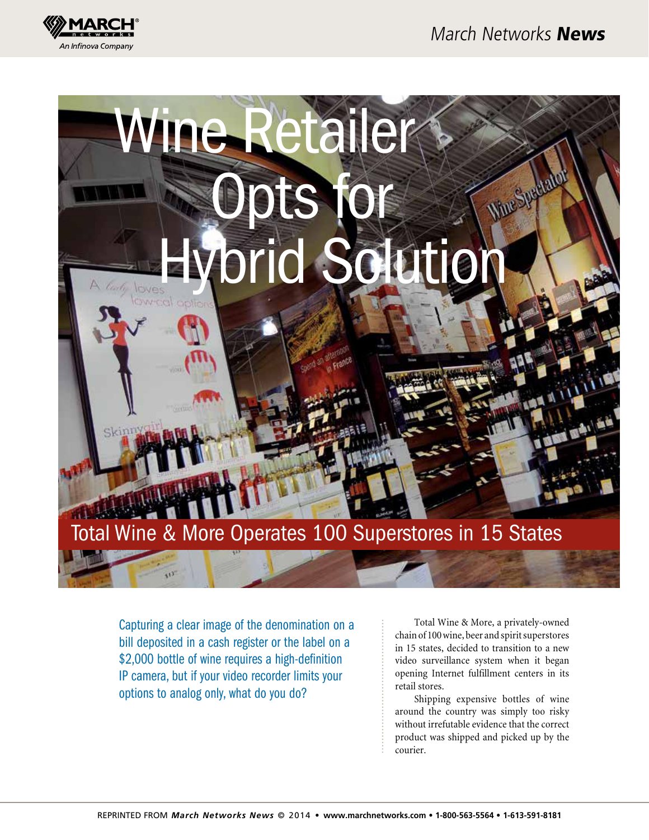



Capturing a clear image of the denomination on a bill deposited in a cash register or the label on a \$2,000 bottle of wine requires a high-definition IP camera, but if your video recorder limits your options to analog only, what do you do?

Total Wine & More, a privately-owned chain of 100 wine, beer and spirit superstores in 15 states, decided to transition to a new video surveillance system when it began opening Internet fulfillment centers in its retail stores.

Shipping expensive bottles of wine around the country was simply too risky without irrefutable evidence that the correct product was shipped and picked up by the courier.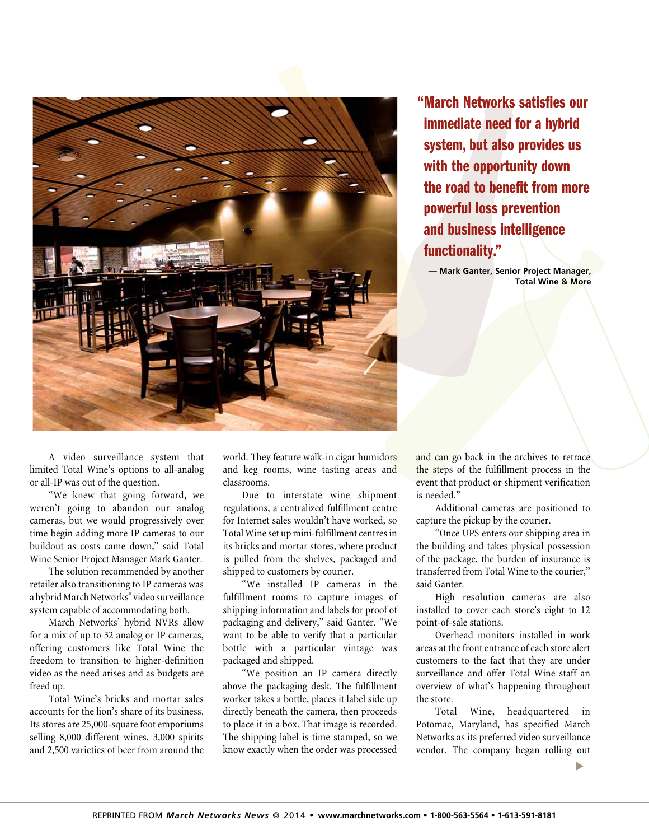

"March Networks satisfies our immediate need for a hybrid system, but also provides us with the opportunity down the road to benefit from more powerful loss prevention and business intelligence functionality."

**— Mark Ganter, Senior Project Manager, Total Wine & More**

A video surveillance system that limited Total Wine's options to all-analog or all-IP was out of the question.

"We knew that going forward, we weren't going to abandon our analog cameras, but we would progressively over time begin adding more IP cameras to our buildout as costs came down," said Total Wine Senior Project Manager Mark Ganter.

The solution recommended by another retailer also transitioning to IP cameras was a hybrid March Networks® video surveillance system capable of accommodating both.

March Networks' hybrid NVRs allow for a mix of up to 32 analog or IP cameras, offering customers like Total Wine the freedom to transition to higher-definition video as the need arises and as budgets are freed up.

Total Wine's bricks and mortar sales accounts for the lion's share of its business. Its stores are 25,000-square foot emporiums selling 8,000 different wines, 3,000 spirits and 2,500 varieties of beer from around the world. They feature walk-in cigar humidors and keg rooms, wine tasting areas and classrooms.

Due to interstate wine shipment regulations, a centralized fulfillment centre for Internet sales wouldn't have worked, so Total Wine set up mini-fulfillment centres in its bricks and mortar stores, where product is pulled from the shelves, packaged and shipped to customers by courier.

"We installed IP cameras in the fulfillment rooms to capture images of shipping information and labels for proof of packaging and delivery," said Ganter. "We want to be able to verify that a particular bottle with a particular vintage was packaged and shipped.

"We position an IP camera directly above the packaging desk. The fulfillment worker takes a bottle, places it label side up directly beneath the camera, then proceeds to place it in a box. That image is recorded. The shipping label is time stamped, so we know exactly when the order was processed

and can go back in the archives to retrace the steps of the fulfillment process in the event that product or shipment verification is needed."

Additional cameras are positioned to capture the pickup by the courier.

"Once UPS enters our shipping area in the building and takes physical possession of the package, the burden of insurance is transferred from Total Wine to the courier," said Ganter.

High resolution cameras are also installed to cover each store's eight to 12 point-of-sale stations.

Overhead monitors installed in work areas at the front entrance of each store alert customers to the fact that they are under surveillance and offer Total Wine staff an overview of what's happening throughout the store.

Total Wine, headquartered in Potomac, Maryland, has specified March Networks as its preferred video surveillance vendor. The company began rolling out

▼